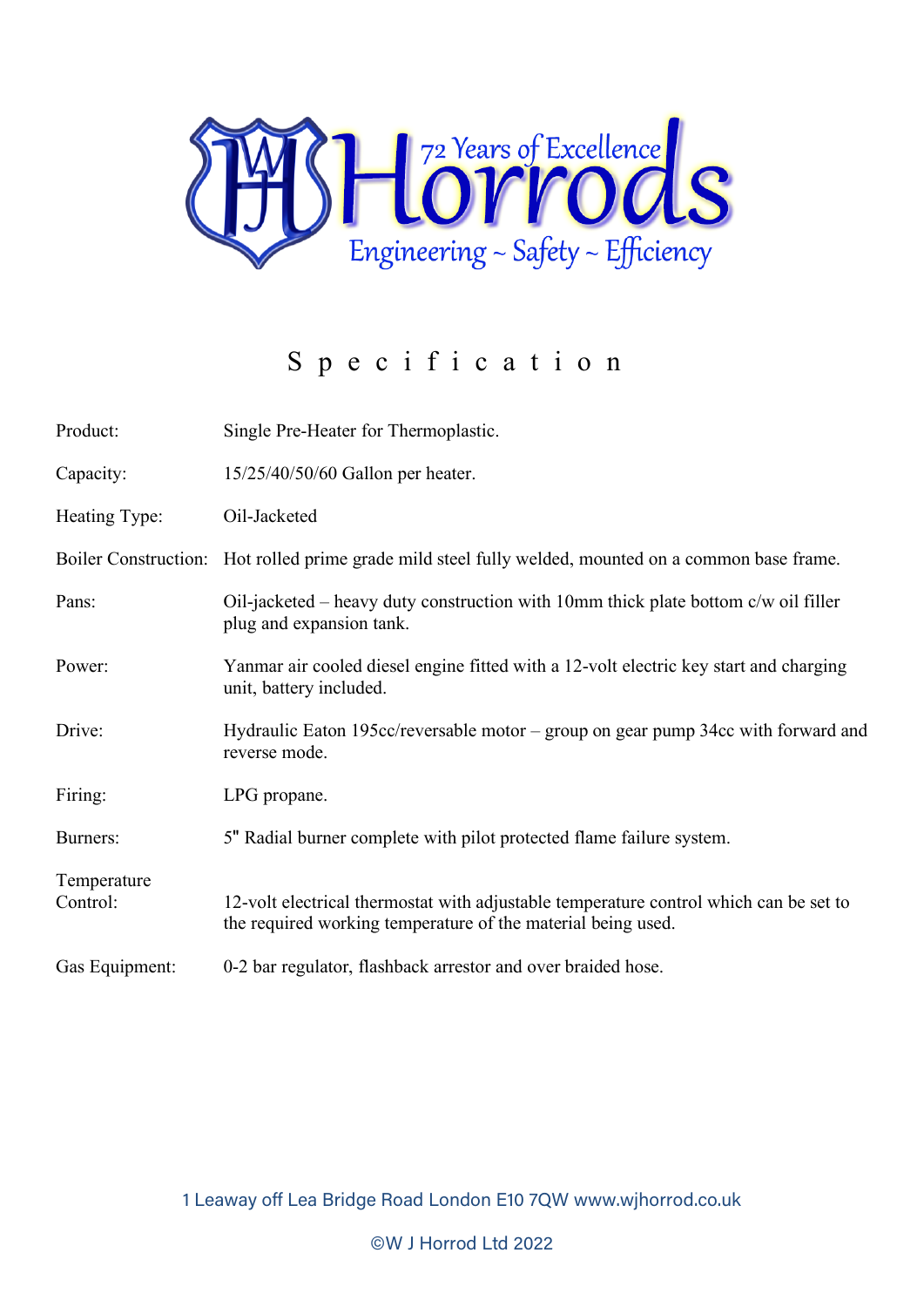

## Specification

| Product:                | Single Pre-Heater for Thermoplastic.                                                                                                                  |
|-------------------------|-------------------------------------------------------------------------------------------------------------------------------------------------------|
| Capacity:               | 15/25/40/50/60 Gallon per heater.                                                                                                                     |
| Heating Type:           | Oil-Jacketed                                                                                                                                          |
|                         | Boiler Construction: Hot rolled prime grade mild steel fully welded, mounted on a common base frame.                                                  |
| Pans:                   | Oil-jacketed – heavy duty construction with 10mm thick plate bottom c/w oil filler<br>plug and expansion tank.                                        |
| Power:                  | Yanmar air cooled diesel engine fitted with a 12-volt electric key start and charging<br>unit, battery included.                                      |
| Drive:                  | Hydraulic Eaton 195 $cc$ /reversable motor – group on gear pump 34 $cc$ with forward and<br>reverse mode.                                             |
| Firing:                 | LPG propane.                                                                                                                                          |
| Burners:                | 5" Radial burner complete with pilot protected flame failure system.                                                                                  |
| Temperature<br>Control: | 12-volt electrical thermostat with adjustable temperature control which can be set to<br>the required working temperature of the material being used. |
| Gas Equipment:          | 0-2 bar regulator, flashback arrestor and over braided hose.                                                                                          |

1 Leaway off Lea Bridge Road London E10 7QW www.wjhorrod.co.uk